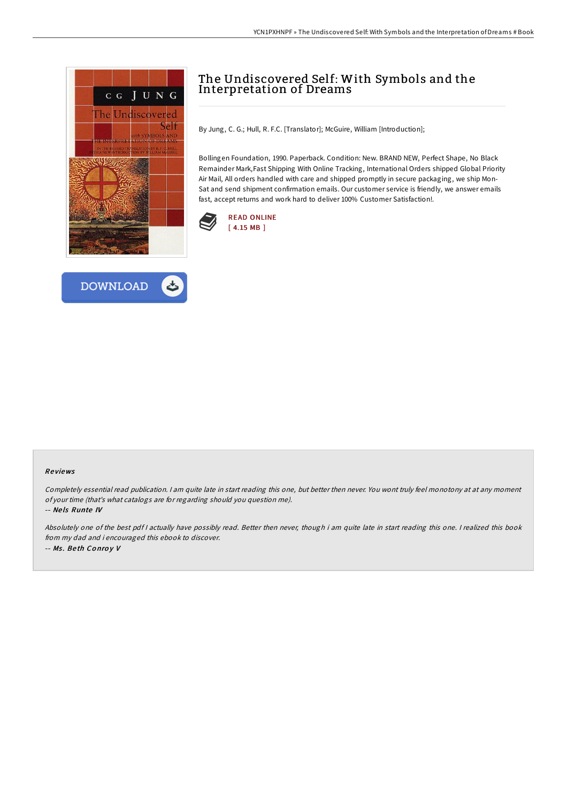



# The Undiscovered Self: With Symbols and the Interpretation of Dreams

By Jung, C. G.; Hull, R. F.C. [Translator]; McGuire, William [Introduction];

Bollingen Foundation, 1990. Paperback. Condition: New. BRAND NEW, Perfect Shape, No Black Remainder Mark,Fast Shipping With Online Tracking, International Orders shipped Global Priority Air Mail, All orders handled with care and shipped promptly in secure packaging, we ship Mon-Sat and send shipment confirmation emails. Our customer service is friendly, we answer emails fast, accept returns and work hard to deliver 100% Customer Satisfaction!.



#### Re views

Completely essential read publication. <sup>I</sup> am quite late in start reading this one, but better then never. You wont truly feel monotony at at any moment of your time (that's what catalogs are for regarding should you question me).

-- Ne ls Runte IV

Absolutely one of the best pdf <sup>I</sup> actually have possibly read. Better then never, though i am quite late in start reading this one. <sup>I</sup> realized this book from my dad and i encouraged this ebook to discover. -- Ms . Be th Co nro y V